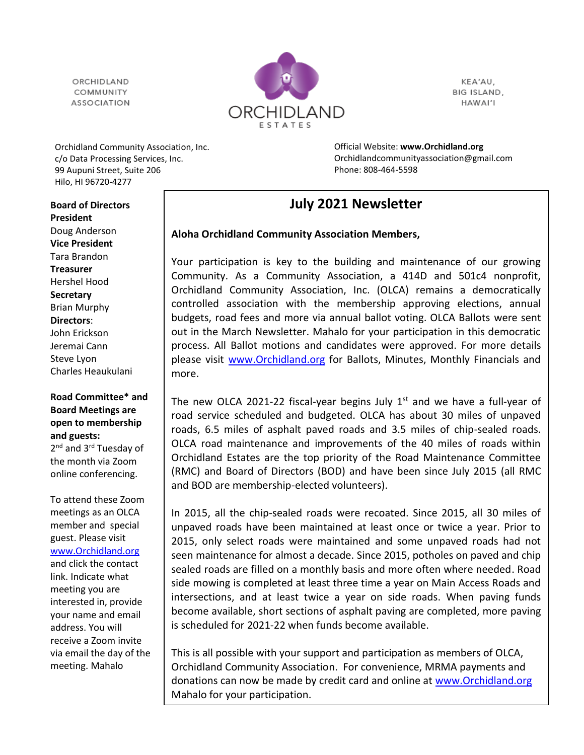ORCHIDLAND COMMUNITY **ASSOCIATION** 



KEA'AU, BIG ISLAND, HAWAI'I

Orchidland Community Association, Inc. c/o Data Processing Services, Inc. 99 Aupuni Street, Suite 206 Hilo, HI 96720-4277

Official Website: **[www.Orchidland.org](http://www.orchidland.org/)** Orchidlandcommunityassociation@gmail.com Phone: 808-464-5598

## **July 2021 Newsletter**

## **Aloha Orchidland Community Association Members,**

Your participation is key to the building and maintenance of our growing Community. As a Community Association, a 414D and 501c4 nonprofit, Orchidland Community Association, Inc. (OLCA) remains a democratically controlled association with the membership approving elections, annual budgets, road fees and more via annual ballot voting. OLCA Ballots were sent out in the March Newsletter. Mahalo for your participation in this democratic process. All Ballot motions and candidates were approved. For more details please visit [www.Orchidland.org](http://www.orchidland.org/) for Ballots, Minutes, Monthly Financials and more.

The new OLCA 2021-22 fiscal-year begins July  $1<sup>st</sup>$  and we have a full-year of road service scheduled and budgeted. OLCA has about 30 miles of unpaved roads, 6.5 miles of asphalt paved roads and 3.5 miles of chip-sealed roads. OLCA road maintenance and improvements of the 40 miles of roads within Orchidland Estates are the top priority of the Road Maintenance Committee (RMC) and Board of Directors (BOD) and have been since July 2015 (all RMC and BOD are membership-elected volunteers).

In 2015, all the chip-sealed roads were recoated. Since 2015, all 30 miles of unpaved roads have been maintained at least once or twice a year. Prior to 2015, only select roads were maintained and some unpaved roads had not seen maintenance for almost a decade. Since 2015, potholes on paved and chip sealed roads are filled on a monthly basis and more often where needed. Road side mowing is completed at least three time a year on Main Access Roads and intersections, and at least twice a year on side roads. When paving funds become available, short sections of asphalt paving are completed, more paving is scheduled for 2021-22 when funds become available.

This is all possible with your support and participation as members of OLCA, Orchidland Community Association. For convenience, MRMA payments and donations can now be made by credit card and online at [www.Orchidland.org](http://www.orchidland.org/)  Mahalo for your participation.

**Board of Directors President** Doug Anderson **Vice President** Tara Brandon **Treasurer** Hershel Hood **Secretary** Brian Murphy **Directors**: John Erickson Jeremai Cann Steve Lyon Charles Heaukulani

**Road Committee\* and Board Meetings are open to membership and guests:** 2<sup>nd</sup> and 3<sup>rd</sup> Tuesday of the month via Zoom online conferencing.

To attend these Zoom meetings as an OLCA member and special guest. Please visit [www.Orchidland.org](http://www.orchidland.org/) and click the contact link. Indicate what meeting you are interested in, provide your name and email address. You will receive a Zoom invite via email the day of the meeting. Mahalo